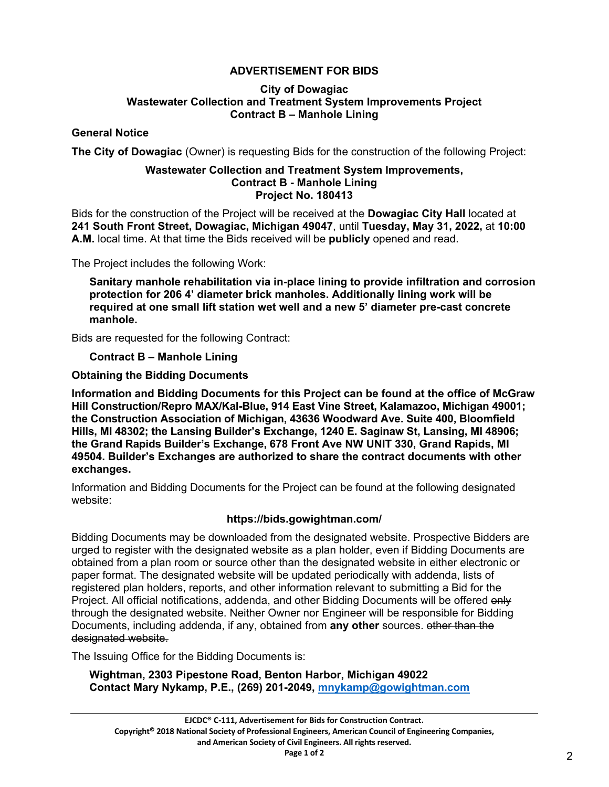# **ADVERTISEMENT FOR BIDS**

#### **City of Dowagiac Wastewater Collection and Treatment System Improvements Project Contract B – Manhole Lining**

## **General Notice**

**The City of Dowagiac** (Owner) is requesting Bids for the construction of the following Project:

#### **Wastewater Collection and Treatment System Improvements, Contract B - Manhole Lining Project No. 180413**

Bids for the construction of the Project will be received at the **Dowagiac City Hall** located at **241 South Front Street, Dowagiac, Michigan 49047**, until **Tuesday, May 31, 2022,** at **10:00 A.M.** local time. At that time the Bids received will be **publicly** opened and read.

The Project includes the following Work:

**Sanitary manhole rehabilitation via in-place lining to provide infiltration and corrosion protection for 206 4' diameter brick manholes. Additionally lining work will be required at one small lift station wet well and a new 5' diameter pre-cast concrete manhole.**

Bids are requested for the following Contract:

## **Contract B – Manhole Lining**

## **Obtaining the Bidding Documents**

**Information and Bidding Documents for this Project can be found at the office of McGraw Hill Construction/Repro MAX/Kal-Blue, 914 East Vine Street, Kalamazoo, Michigan 49001; the Construction Association of Michigan, 43636 Woodward Ave. Suite 400, Bloomfield Hills, MI 48302; the Lansing Builder's Exchange, 1240 E. Saginaw St, Lansing, MI 48906; the Grand Rapids Builder's Exchange, 678 Front Ave NW UNIT 330, Grand Rapids, MI 49504. Builder's Exchanges are authorized to share the contract documents with other exchanges.**

Information and Bidding Documents for the Project can be found at the following designated website:

## **https://bids.gowightman.com/**

Bidding Documents may be downloaded from the designated website. Prospective Bidders are urged to register with the designated website as a plan holder, even if Bidding Documents are obtained from a plan room or source other than the designated website in either electronic or paper format. The designated website will be updated periodically with addenda, lists of registered plan holders, reports, and other information relevant to submitting a Bid for the Project. All official notifications, addenda, and other Bidding Documents will be offered only through the designated website. Neither Owner nor Engineer will be responsible for Bidding Documents, including addenda, if any, obtained from **any other** sources. other than the designated website.

The Issuing Office for the Bidding Documents is:

**Wightman, 2303 Pipestone Road, Benton Harbor, Michigan 49022 Contact Mary Nykamp, P.E., (269) 201-2049, [mnykamp@gowightman.com](mailto:mnykamp@gowightman.com)**